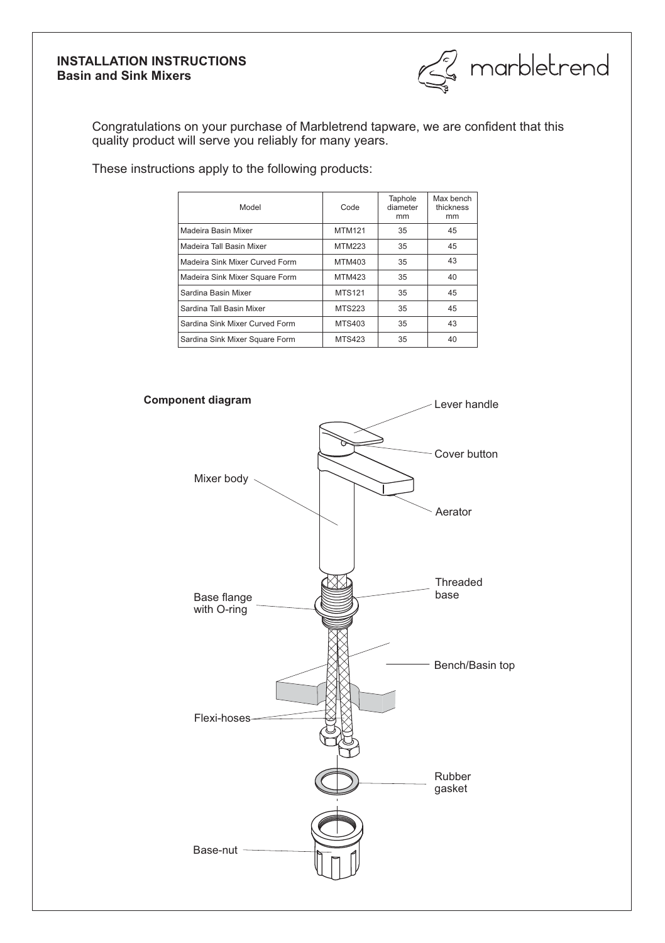# **INSTALLATION INSTRUCTIONS Basin and Sink Mixers**



Congratulations on your purchase of Marbletrend tapware, we are confident that this quality product will serve you reliably for many years.

These instructions apply to the following products:

| Model                          | Code          | Taphole<br>diameter<br>mm | Max bench<br>thickness<br>mm |
|--------------------------------|---------------|---------------------------|------------------------------|
| Madeira Basin Mixer            | <b>MTM121</b> | 35                        | 45                           |
| Madeira Tall Basin Mixer       | <b>MTM223</b> | 35                        | 45                           |
| Madeira Sink Mixer Curved Form | MTM403        | 35                        | 43                           |
| Madeira Sink Mixer Square Form | <b>MTM423</b> | 35                        | 40                           |
| Sardina Basin Mixer            | <b>MTS121</b> | 35                        | 45                           |
| Sardina Tall Basin Mixer       | MTS223        | 35                        | 45                           |
| Sardina Sink Mixer Curved Form | MTS403        | 35                        | 43                           |
| Sardina Sink Mixer Square Form | <b>MTS423</b> | 35                        | 40                           |